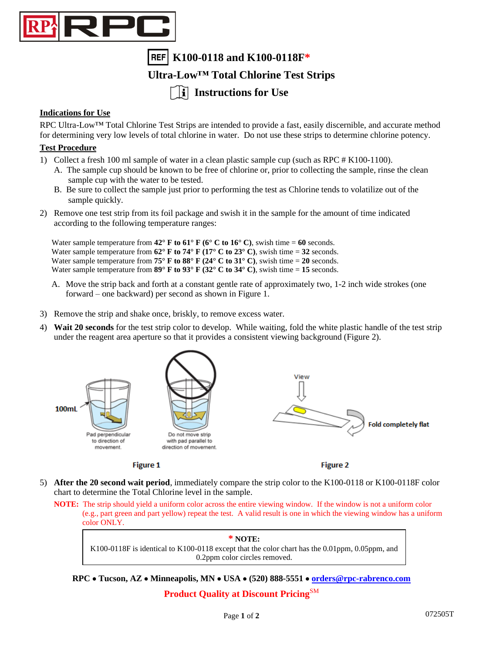

**K100-0118 and K100-0118F\***

## **Ultra-Low™ Total Chlorine Test Strips**

# **i** Instructions for Use

### **Indications for Use**

RPC Ultra-Low™ Total Chlorine Test Strips are intended to provide a fast, easily discernible, and accurate method for determining very low levels of total chlorine in water. Do not use these strips to determine chlorine potency.

#### **Test Procedure**

- 1) Collect a fresh 100 ml sample of water in a clean plastic sample cup (such as RPC # K100-1100).
	- A. The sample cup should be known to be free of chlorine or, prior to collecting the sample, rinse the clean sample cup with the water to be tested.
	- B. Be sure to collect the sample just prior to performing the test as Chlorine tends to volatilize out of the sample quickly.
- 2) Remove one test strip from its foil package and swish it in the sample for the amount of time indicated according to the following temperature ranges:

Water sample temperature from  $42^{\circ}$  **F** to  $61^{\circ}$  **F** ( $6^{\circ}$  C to  $16^{\circ}$  C), swish time =  $60$  seconds. Water sample temperature from  $62^{\circ}$  **F** to  $74^{\circ}$  **F**  $(17^{\circ}$  **C** to  $23^{\circ}$  **C**), swish time = 32 seconds. Water sample temperature from  $75^{\circ}$  **F** to  $88^{\circ}$  **F** ( $24^{\circ}$  C to  $31^{\circ}$  C), swish time =  $20$  seconds. Water sample temperature from **89° F to 93° F (32° C to 34° C)**, swish time = 15 seconds.

- A. Move the strip back and forth at a constant gentle rate of approximately two, 1-2 inch wide strokes (one forward – one backward) per second as shown in Figure 1.
- 3) Remove the strip and shake once, briskly, to remove excess water.
- 4) **Wait 20 seconds** for the test strip color to develop. While waiting, fold the white plastic handle of the test strip under the reagent area aperture so that it provides a consistent viewing background (Figure 2).





**Figure 2** 

- 5) **After the 20 second wait period**, immediately compare the strip color to the K100-0118 or K100-0118F color chart to determine the Total Chlorine level in the sample.
	- **NOTE:** The strip should yield a uniform color across the entire viewing window. If the window is not a uniform color (e.g., part green and part yellow) repeat the test. A valid result is one in which the viewing window has a uniform color ONLY.

**\* NOTE:** K100-0118F is identical to K100-0118 except that the color chart has the 0.01ppm, 0.05ppm, and 0.2ppm color circles removed.

**RPC** • **Tucson, AZ** • **Minneapolis, MN** • **USA** • **(520) 888-5551** • **[orders@rpc-rabrenco.com](file://///RPC-SRV-01/Shared-docs/Tucson%20Internal%20Docs/QUALITY/CONTROLLED%20DOCUMENTS/IFUs/K100-0114/orders@rpc-rabrenco.com)**

**Product Quality at Discount Pricing**SM